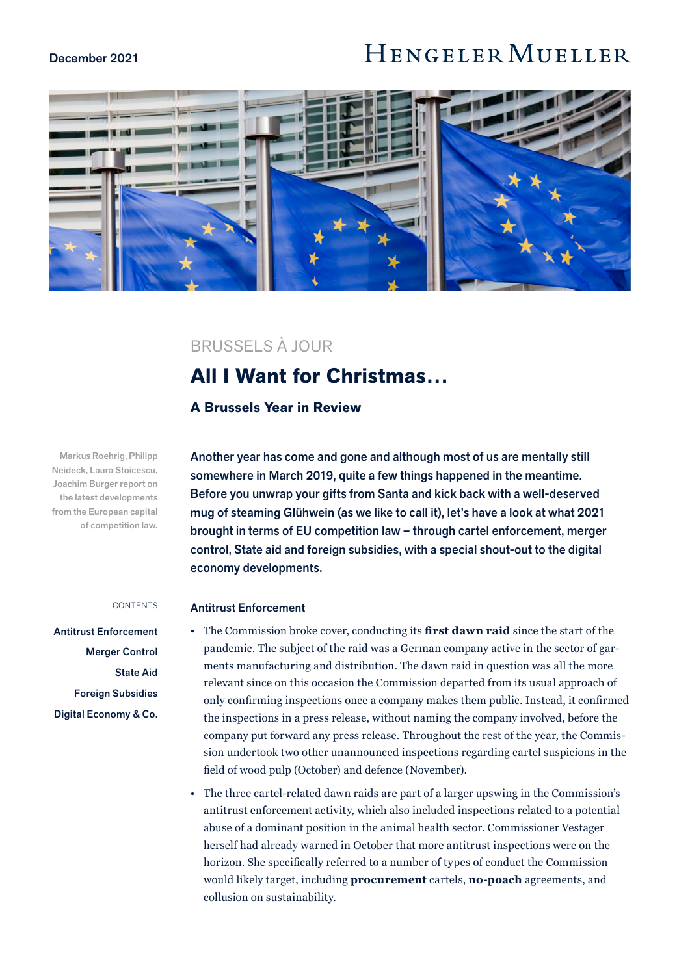### December 2021

# HENGELER MUELLER



### BRUSSELS À JOUR

## **All I Want for Christmas…**

### **A Brussels Year in Review**

Another year has come and gone and although most of us are mentally still somewhere in March 2019, quite a few things happened in the meantime. Before you unwrap your gifts from Santa and kick back with a well-deserved mug of steaming Glühwein (as we like to call it), let's have a look at what 2021 brought in terms of EU competition law – through cartel enforcement, merger control, State aid and foreign subsidies, with a special shout-out to the digital economy developments.

### Antitrust Enforcement

- The Commission broke cover, conducting its **first dawn raid** since the start of the pandemic. The subject of the raid was a German company active in the sector of garments manufacturing and distribution. The dawn raid in question was all the more relevant since on this occasion the Commission departed from its usual approach of only confirming inspections once a company makes them public. Instead, it confirmed the inspections in a press release, without naming the company involved, before the company put forward any press release. Throughout the rest of the year, the Commission undertook two other unannounced inspections regarding cartel suspicions in the field of wood pulp (October) and defence (November).
- The three cartel-related dawn raids are part of a larger upswing in the Commission's antitrust enforcement activity, which also included inspections related to a potential abuse of a dominant position in the animal health sector. Commissioner Vestager herself had already warned in October that more antitrust inspections were on the horizon. She specifically referred to a number of types of conduct the Commission would likely target, including **procurement** cartels, **no-poach** agreements, and collusion on sustainability.

Markus Roehrig, Philipp Neideck, Laura Stoicescu, Joachim Burger report on the latest developments from the European capital of competition law.

#### CONTENTS

Antitrust Enforcement [Merger Control](#page-1-0) [State Aid](#page-3-0) [Foreign Subsidies](#page-4-0) [Digital Economy & Co.](#page-4-0)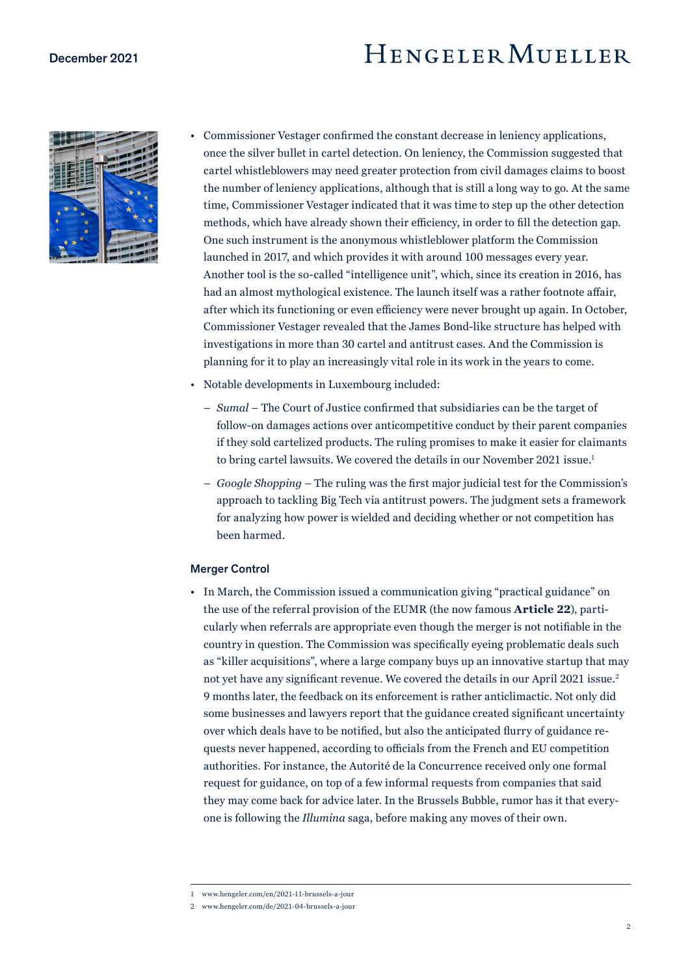# HENGELER MUELLER

<span id="page-1-0"></span>

| y, |  |
|----|--|

- Commissioner Vestager confirmed the constant decrease in leniency applications, once the silver bullet in cartel detection. On leniency, the Commission suggested that cartel whistleblowers may need greater protection from civil damages claims to boost the number of leniency applications, although that is still a long way to go. At the same time, Commissioner Vestager indicated that it was time to step up the other detection methods, which have already shown their efficiency, in order to fill the detection gap. One such instrument is the anonymous whistleblower platform the Commission launched in 2017, and which provides it with around 100 messages every year. Another tool is the so-called "intelligence unit", which, since its creation in 2016, has had an almost mythological existence. The launch itself was a rather footnote affair, after which its functioning or even efficiency were never brought up again. In October, Commissioner Vestager revealed that the James Bond-like structure has helped with investigations in more than 30 cartel and antitrust cases. And the Commission is planning for it to play an increasingly vital role in its work in the years to come.
- Notable developments in Luxembourg included:
	- *Sumal* The Court of Justice confirmed that subsidiaries can be the target of follow-on damages actions over anticompetitive conduct by their parent companies if they sold cartelized products. The ruling promises to make it easier for claimants to bring cartel lawsuits. We covered the details in our November 2021 issue.<sup>1</sup>
	- *Google Shopping* The ruling was the first major judicial test for the Commission's approach to tackling Big Tech via antitrust powers. The judgment sets a framework for analyzing how power is wielded and deciding whether or not competition has been harmed.

### Merger Control

• In March, the Commission issued a communication giving "practical guidance" on the use of the referral provision of the EUMR (the now famous **Article 22**), particularly when referrals are appropriate even though the merger is not notifiable in the country in question. The Commission was specifically eyeing problematic deals such as "killer acquisitions", where a large company buys up an innovative startup that may not yet have any significant revenue. We covered the details in our April 2021 issue.<sup>2</sup> 9 months later, the feedback on its enforcement is rather anticlimactic. Not only did some businesses and lawyers report that the guidance created significant uncertainty over which deals have to be notified, but also the anticipated flurry of guidance requests never happened, according to officials from the French and EU competition authorities. For instance, the Autorité de la Concurrence received only one formal request for guidance, on top of a few informal requests from companies that said they may come back for advice later. In the Brussels Bubble, rumor has it that everyone is following the *Illumina* saga, before making any moves of their own.

<sup>1</sup> www.hengeler.com/en/2021-11-brussels-a-jour

<sup>2</sup> www.hengeler.com/de/2021-04-brussels-a-jour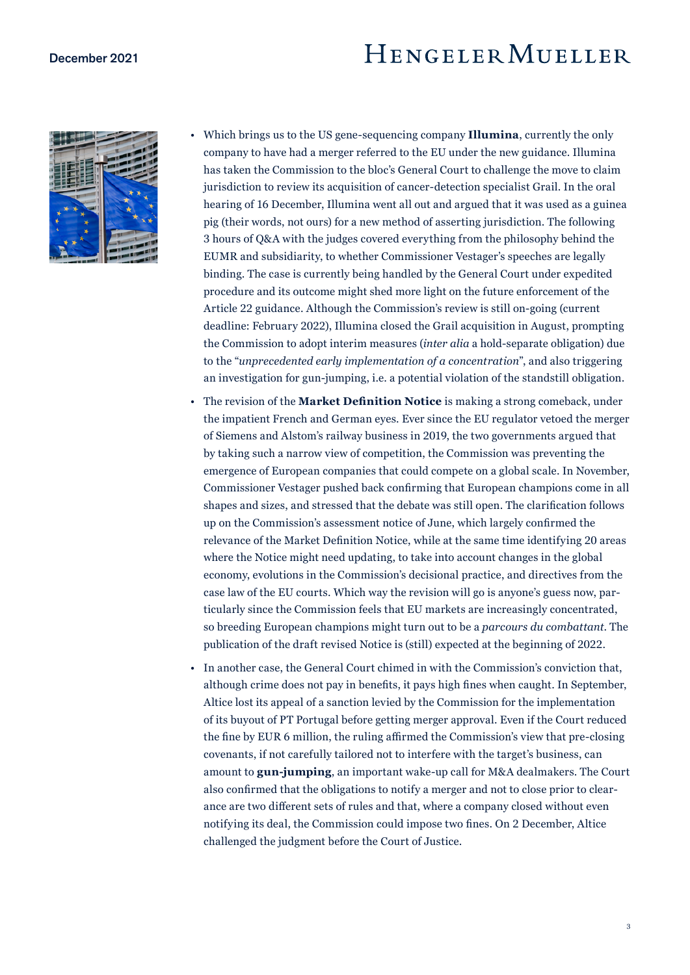### December 2021

## HENGELERMUELLER



- Which brings us to the US gene-sequencing company **Illumina**, currently the only company to have had a merger referred to the EU under the new guidance. Illumina has taken the Commission to the bloc's General Court to challenge the move to claim jurisdiction to review its acquisition of cancer-detection specialist Grail. In the oral hearing of 16 December, Illumina went all out and argued that it was used as a guinea pig (their words, not ours) for a new method of asserting jurisdiction. The following 3 hours of Q&A with the judges covered everything from the philosophy behind the EUMR and subsidiarity, to whether Commissioner Vestager's speeches are legally binding. The case is currently being handled by the General Court under expedited procedure and its outcome might shed more light on the future enforcement of the Article 22 guidance. Although the Commission's review is still on-going (current deadline: February 2022), Illumina closed the Grail acquisition in August, prompting the Commission to adopt interim measures (*inter alia* a hold-separate obligation) due to the "*unprecedented early implementation of a concentration*", and also triggering an investigation for gun-jumping, i.e. a potential violation of the standstill obligation.
- The revision of the **Market Definition Notice** is making a strong comeback, under the impatient French and German eyes. Ever since the EU regulator vetoed the merger of Siemens and Alstom's railway business in 2019, the two governments argued that by taking such a narrow view of competition, the Commission was preventing the emergence of European companies that could compete on a global scale. In November, Commissioner Vestager pushed back confirming that European champions come in all shapes and sizes, and stressed that the debate was still open. The clarification follows up on the Commission's assessment notice of June, which largely confirmed the relevance of the Market Definition Notice, while at the same time identifying 20 areas where the Notice might need updating, to take into account changes in the global economy, evolutions in the Commission's decisional practice, and directives from the case law of the EU courts. Which way the revision will go is anyone's guess now, particularly since the Commission feels that EU markets are increasingly concentrated, so breeding European champions might turn out to be a *parcours du combattant*. The publication of the draft revised Notice is (still) expected at the beginning of 2022.
- In another case, the General Court chimed in with the Commission's conviction that, although crime does not pay in benefits, it pays high fines when caught. In September, Altice lost its appeal of a sanction levied by the Commission for the implementation of its buyout of PT Portugal before getting merger approval. Even if the Court reduced the fine by EUR 6 million, the ruling affirmed the Commission's view that pre-closing covenants, if not carefully tailored not to interfere with the target's business, can amount to **gun-jumping**, an important wake-up call for M&A dealmakers. The Court also confirmed that the obligations to notify a merger and not to close prior to clearance are two different sets of rules and that, where a company closed without even notifying its deal, the Commission could impose two fines. On 2 December, Altice challenged the judgment before the Court of Justice.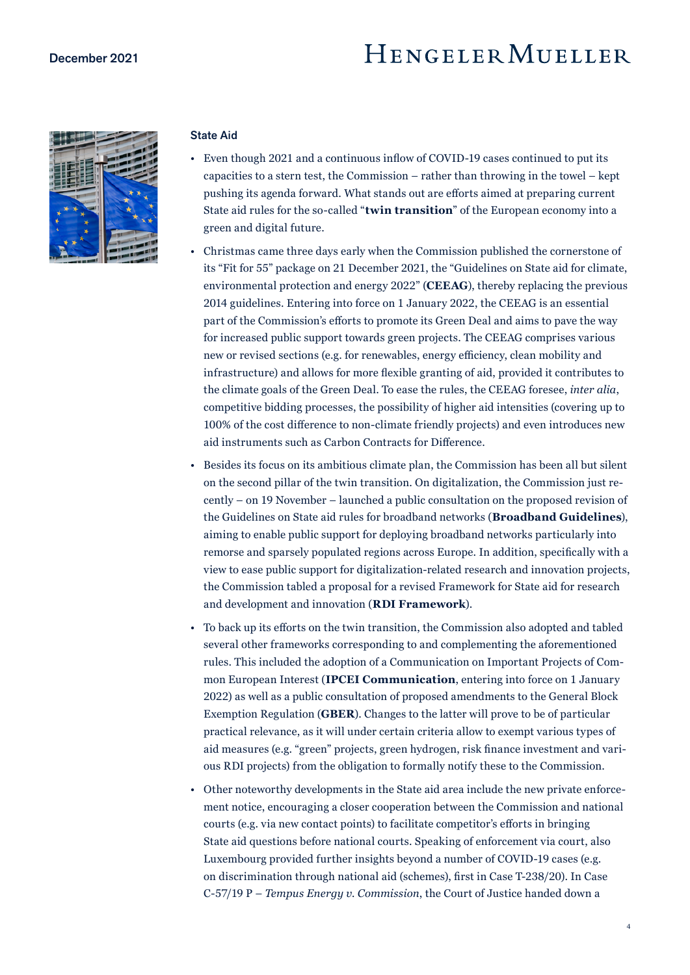# HENGELERMUELLER

<span id="page-3-0"></span>

### State Aid

- Even though 2021 and a continuous inflow of COVID-19 cases continued to put its capacities to a stern test, the Commission – rather than throwing in the towel – kept pushing its agenda forward. What stands out are efforts aimed at preparing current State aid rules for the so-called "**twin transition**" of the European economy into a green and digital future.
- Christmas came three days early when the Commission published the cornerstone of its "Fit for 55" package on 21 December 2021, the "Guidelines on State aid for climate, environmental protection and energy 2022" (**CEEAG**), thereby replacing the previous 2014 guidelines. Entering into force on 1 January 2022, the CEEAG is an essential part of the Commission's efforts to promote its Green Deal and aims to pave the way for increased public support towards green projects. The CEEAG comprises various new or revised sections (e.g. for renewables, energy efficiency, clean mobility and infrastructure) and allows for more flexible granting of aid, provided it contributes to the climate goals of the Green Deal. To ease the rules, the CEEAG foresee, *inter alia*, competitive bidding processes, the possibility of higher aid intensities (covering up to 100% of the cost difference to non-climate friendly projects) and even introduces new aid instruments such as Carbon Contracts for Difference.
- Besides its focus on its ambitious climate plan, the Commission has been all but silent on the second pillar of the twin transition. On digitalization, the Commission just recently – on 19 November – launched a public consultation on the proposed revision of the Guidelines on State aid rules for broadband networks (**Broadband Guidelines**), aiming to enable public support for deploying broadband networks particularly into remorse and sparsely populated regions across Europe. In addition, specifically with a view to ease public support for digitalization-related research and innovation projects, the Commission tabled a proposal for a revised Framework for State aid for research and development and innovation (**RDI Framework**).
- To back up its efforts on the twin transition, the Commission also adopted and tabled several other frameworks corresponding to and complementing the aforementioned rules. This included the adoption of a Communication on Important Projects of Common European Interest (**IPCEI Communication**, entering into force on 1 January 2022) as well as a public consultation of proposed amendments to the General Block Exemption Regulation (**GBER**). Changes to the latter will prove to be of particular practical relevance, as it will under certain criteria allow to exempt various types of aid measures (e.g. "green" projects, green hydrogen, risk finance investment and various RDI projects) from the obligation to formally notify these to the Commission.
- Other noteworthy developments in the State aid area include the new private enforcement notice, encouraging a closer cooperation between the Commission and national courts (e.g. via new contact points) to facilitate competitor's efforts in bringing State aid questions before national courts. Speaking of enforcement via court, also Luxembourg provided further insights beyond a number of COVID-19 cases (e.g. on discrimination through national aid (schemes), first in Case T-238/20). In Case C-57/19 P – *Tempus Energy v. Commission*, the Court of Justice handed down a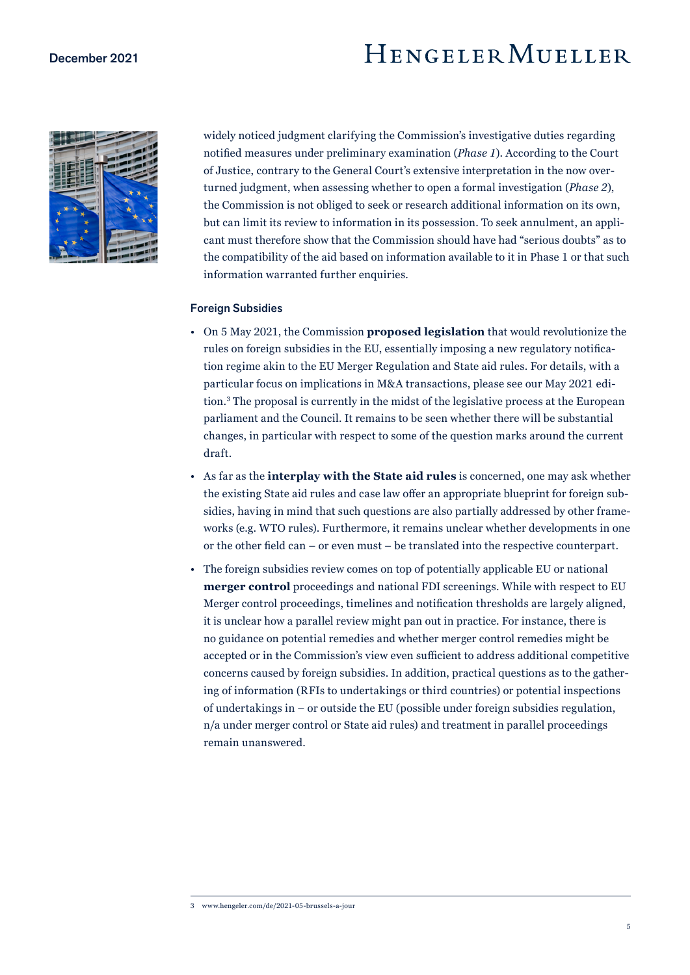# HENGELER MUELLER

<span id="page-4-0"></span>

widely noticed judgment clarifying the Commission's investigative duties regarding notified measures under preliminary examination (*Phase 1*). According to the Court of Justice, contrary to the General Court's extensive interpretation in the now overturned judgment, when assessing whether to open a formal investigation (*Phase 2*), the Commission is not obliged to seek or research additional information on its own, but can limit its review to information in its possession. To seek annulment, an applicant must therefore show that the Commission should have had "serious doubts" as to the compatibility of the aid based on information available to it in Phase 1 or that such information warranted further enquiries.

### Foreign Subsidies

- On 5 May 2021, the Commission **proposed legislation** that would revolutionize the rules on foreign subsidies in the EU, essentially imposing a new regulatory notification regime akin to the EU Merger Regulation and State aid rules. For details, with a particular focus on implications in M&A transactions, please see our May 2021 edition.3 The proposal is currently in the midst of the legislative process at the European parliament and the Council. It remains to be seen whether there will be substantial changes, in particular with respect to some of the question marks around the current draft.
- As far as the **interplay with the State aid rules** is concerned, one may ask whether the existing State aid rules and case law offer an appropriate blueprint for foreign subsidies, having in mind that such questions are also partially addressed by other frameworks (e.g. WTO rules). Furthermore, it remains unclear whether developments in one or the other field can – or even must – be translated into the respective counterpart.
- The foreign subsidies review comes on top of potentially applicable EU or national **merger control** proceedings and national FDI screenings. While with respect to EU Merger control proceedings, timelines and notification thresholds are largely aligned, it is unclear how a parallel review might pan out in practice. For instance, there is no guidance on potential remedies and whether merger control remedies might be accepted or in the Commission's view even sufficient to address additional competitive concerns caused by foreign subsidies. In addition, practical questions as to the gathering of information (RFIs to undertakings or third countries) or potential inspections of undertakings in – or outside the EU (possible under foreign subsidies regulation, n/a under merger control or State aid rules) and treatment in parallel proceedings remain unanswered.

<sup>3</sup> www.hengeler.com/de/2021-05-brussels-a-jour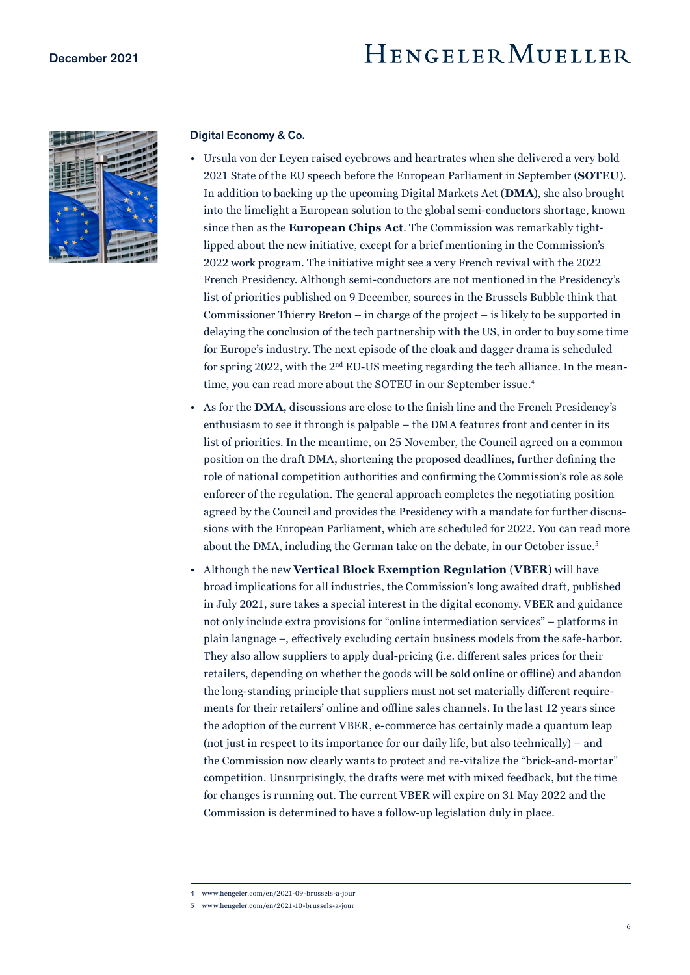

### Digital Economy & Co.

- Ursula von der Leyen raised eyebrows and heartrates when she delivered a very bold 2021 State of the EU speech before the European Parliament in September (**SOTEU**). In addition to backing up the upcoming Digital Markets Act (**DMA**), she also brought into the limelight a European solution to the global semi-conductors shortage, known since then as the **European Chips Act**. The Commission was remarkably tightlipped about the new initiative, except for a brief mentioning in the Commission's 2022 work program. The initiative might see a very French revival with the 2022 French Presidency. Although semi-conductors are not mentioned in the Presidency's list of priorities published on 9 December, sources in the Brussels Bubble think that Commissioner Thierry Breton – in charge of the project – is likely to be supported in delaying the conclusion of the tech partnership with the US, in order to buy some time for Europe's industry. The next episode of the cloak and dagger drama is scheduled for spring 2022, with the 2nd EU-US meeting regarding the tech alliance. In the meantime, you can read more about the SOTEU in our September issue.<sup>4</sup>
- As for the **DMA**, discussions are close to the finish line and the French Presidency's enthusiasm to see it through is palpable – the DMA features front and center in its list of priorities. In the meantime, on 25 November, the Council agreed on a common position on the draft DMA, shortening the proposed deadlines, further defining the role of national competition authorities and confirming the Commission's role as sole enforcer of the regulation. The general approach completes the negotiating position agreed by the Council and provides the Presidency with a mandate for further discussions with the European Parliament, which are scheduled for 2022. You can read more about the DMA, including the German take on the debate, in our October issue.5
- Although the new **Vertical Block Exemption Regulation** (**VBER**) will have broad implications for all industries, the Commission's long awaited draft, published in July 2021, sure takes a special interest in the digital economy. VBER and guidance not only include extra provisions for "online intermediation services" – platforms in plain language –, effectively excluding certain business models from the safe-harbor. They also allow suppliers to apply dual-pricing (i.e. different sales prices for their retailers, depending on whether the goods will be sold online or offline) and abandon the long-standing principle that suppliers must not set materially different requirements for their retailers' online and offline sales channels. In the last 12 years since the adoption of the current VBER, e-commerce has certainly made a quantum leap (not just in respect to its importance for our daily life, but also technically) – and the Commission now clearly wants to protect and re-vitalize the "brick-and-mortar" competition. Unsurprisingly, the drafts were met with mixed feedback, but the time for changes is running out. The current VBER will expire on 31 May 2022 and the Commission is determined to have a follow-up legislation duly in place.

<sup>4</sup> www.hengeler.com/en/2021-09-brussels-a-jour

<sup>5</sup> www.hengeler.com/en/2021-10-brussels-a-jour